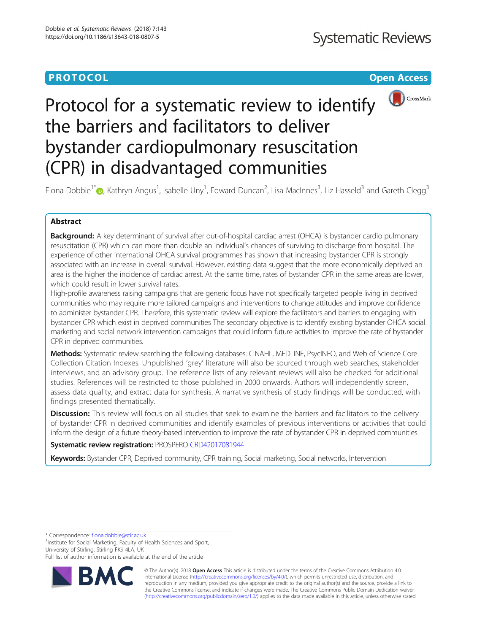# **PROTOCOL CONSUMING THE OPEN ACCESS**



# Protocol for a systematic review to identify the barriers and facilitators to deliver bystander cardiopulmonary resuscitation (CPR) in disadvantaged communities

Fiona Dobbie<sup>1[\\*](http://orcid.org/0000-0002-8294-8203)</sup>�, Kathryn Angus<sup>1</sup>, Isabelle Uny<sup>1</sup>, Edward Duncan<sup>2</sup>, Lisa MacInnes<sup>3</sup>, Liz Hasseld<sup>3</sup> and Gareth Clegg<sup>3</sup>

## Abstract

Background: A key determinant of survival after out-of-hospital cardiac arrest (OHCA) is bystander cardio pulmonary resuscitation (CPR) which can more than double an individual's chances of surviving to discharge from hospital. The experience of other international OHCA survival programmes has shown that increasing bystander CPR is strongly associated with an increase in overall survival. However, existing data suggest that the more economically deprived an area is the higher the incidence of cardiac arrest. At the same time, rates of bystander CPR in the same areas are lower, which could result in lower survival rates.

High-profile awareness raising campaigns that are generic focus have not specifically targeted people living in deprived communities who may require more tailored campaigns and interventions to change attitudes and improve confidence to administer bystander CPR. Therefore, this systematic review will explore the facilitators and barriers to engaging with bystander CPR which exist in deprived communities The secondary objective is to identify existing bystander OHCA social marketing and social network intervention campaigns that could inform future activities to improve the rate of bystander CPR in deprived communities.

Methods: Systematic review searching the following databases: CINAHL, MEDLINE, PsycINFO, and Web of Science Core Collection Citation Indexes. Unpublished 'grey' literature will also be sourced through web searches, stakeholder interviews, and an advisory group. The reference lists of any relevant reviews will also be checked for additional studies. References will be restricted to those published in 2000 onwards. Authors will independently screen, assess data quality, and extract data for synthesis. A narrative synthesis of study findings will be conducted, with findings presented thematically.

Discussion: This review will focus on all studies that seek to examine the barriers and facilitators to the delivery of bystander CPR in deprived communities and identify examples of previous interventions or activities that could inform the design of a future theory-based intervention to improve the rate of bystander CPR in deprived communities.

Systematic review registration: PROSPERO [CRD42017081944](https://www.crd.york.ac.uk/prospero/display_record.php?RecordID=81944)

Keywords: Bystander CPR, Deprived community, CPR training, Social marketing, Social networks, Intervention

\* Correspondence: [fiona.dobbie@stir.ac.uk](mailto:fiona.dobbie@stir.ac.uk) <sup>1</sup>

<sup>1</sup>Institute for Social Marketing, Faculty of Health Sciences and Sport, University of Stirling, Stirling FK9 4LA, UK

Full list of author information is available at the end of the article



© The Author(s). 2018 Open Access This article is distributed under the terms of the Creative Commons Attribution 4.0 International License [\(http://creativecommons.org/licenses/by/4.0/](http://creativecommons.org/licenses/by/4.0/)), which permits unrestricted use, distribution, and reproduction in any medium, provided you give appropriate credit to the original author(s) and the source, provide a link to the Creative Commons license, and indicate if changes were made. The Creative Commons Public Domain Dedication waiver [\(http://creativecommons.org/publicdomain/zero/1.0/](http://creativecommons.org/publicdomain/zero/1.0/)) applies to the data made available in this article, unless otherwise stated.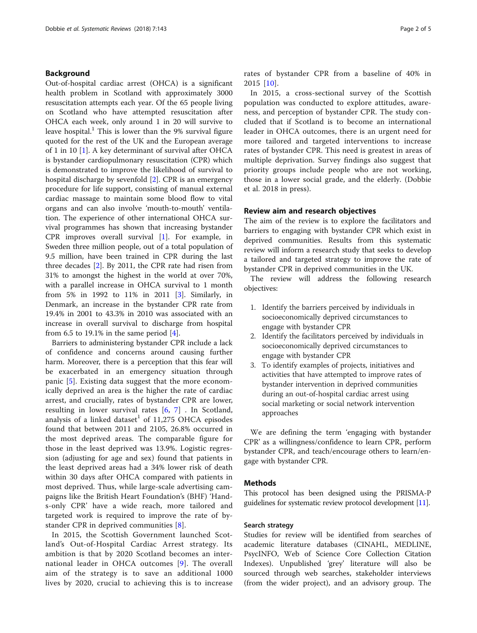#### Background

Out-of-hospital cardiac arrest (OHCA) is a significant health problem in Scotland with approximately 3000 resuscitation attempts each year. Of the 65 people living on Scotland who have attempted resuscitation after OHCA each week, only around 1 in 20 will survive to leave hospital.<sup>1</sup> This is lower than the 9% survival figure quoted for the rest of the UK and the European average of 1 in 10 [\[1](#page-3-0)]. A key determinant of survival after OHCA is bystander cardiopulmonary resuscitation (CPR) which is demonstrated to improve the likelihood of survival to hospital discharge by sevenfold [\[2](#page-3-0)]. CPR is an emergency procedure for life support, consisting of manual external cardiac massage to maintain some blood flow to vital organs and can also involve 'mouth-to-mouth' ventilation. The experience of other international OHCA survival programmes has shown that increasing bystander CPR improves overall survival [[1\]](#page-3-0). For example, in Sweden three million people, out of a total population of 9.5 million, have been trained in CPR during the last three decades [[2](#page-3-0)]. By 2011, the CPR rate had risen from 31% to amongst the highest in the world at over 70%, with a parallel increase in OHCA survival to 1 month from 5% in 1992 to 11% in 2011 [[3\]](#page-3-0). Similarly, in Denmark, an increase in the bystander CPR rate from 19.4% in 2001 to 43.3% in 2010 was associated with an increase in overall survival to discharge from hospital from 6.5 to 19.1% in the same period  $[4]$  $[4]$ .

Barriers to administering bystander CPR include a lack of confidence and concerns around causing further harm. Moreover, there is a perception that this fear will be exacerbated in an emergency situation through panic [[5\]](#page-3-0). Existing data suggest that the more economically deprived an area is the higher the rate of cardiac arrest, and crucially, rates of bystander CPR are lower, resulting in lower survival rates [\[6](#page-3-0), [7\]](#page-3-0) . In Scotland, analysis of a linked dataset<sup>1</sup> of 11,275 OHCA episodes found that between 2011 and 2105, 26.8% occurred in the most deprived areas. The comparable figure for those in the least deprived was 13.9%. Logistic regression (adjusting for age and sex) found that patients in the least deprived areas had a 34% lower risk of death within 30 days after OHCA compared with patients in most deprived. Thus, while large-scale advertising campaigns like the British Heart Foundation's (BHF) 'Hands-only CPR' have a wide reach, more tailored and targeted work is required to improve the rate of bystander CPR in deprived communities [[8\]](#page-4-0).

In 2015, the Scottish Government launched Scotland's Out-of-Hospital Cardiac Arrest strategy. Its ambition is that by 2020 Scotland becomes an international leader in OHCA outcomes [[9\]](#page-4-0). The overall aim of the strategy is to save an additional 1000 lives by 2020, crucial to achieving this is to increase

rates of bystander CPR from a baseline of 40% in 2015 [\[10\]](#page-4-0).

In 2015, a cross-sectional survey of the Scottish population was conducted to explore attitudes, awareness, and perception of bystander CPR. The study concluded that if Scotland is to become an international leader in OHCA outcomes, there is an urgent need for more tailored and targeted interventions to increase rates of bystander CPR. This need is greatest in areas of multiple deprivation. Survey findings also suggest that priority groups include people who are not working, those in a lower social grade, and the elderly. (Dobbie et al. 2018 in press).

#### Review aim and research objectives

The aim of the review is to explore the facilitators and barriers to engaging with bystander CPR which exist in deprived communities. Results from this systematic review will inform a research study that seeks to develop a tailored and targeted strategy to improve the rate of bystander CPR in deprived communities in the UK.

The review will address the following research objectives:

- 1. Identify the barriers perceived by individuals in socioeconomically deprived circumstances to engage with bystander CPR
- 2. Identify the facilitators perceived by individuals in socioeconomically deprived circumstances to engage with bystander CPR
- 3. To identify examples of projects, initiatives and activities that have attempted to improve rates of bystander intervention in deprived communities during an out-of-hospital cardiac arrest using social marketing or social network intervention approaches

We are defining the term 'engaging with bystander CPR' as a willingness/confidence to learn CPR, perform bystander CPR, and teach/encourage others to learn/engage with bystander CPR.

#### **Methods**

This protocol has been designed using the PRISMA-P guidelines for systematic review protocol development [[11](#page-4-0)].

#### Search strategy

Studies for review will be identified from searches of academic literature databases (CINAHL, MEDLINE, PsycINFO, Web of Science Core Collection Citation Indexes). Unpublished 'grey' literature will also be sourced through web searches, stakeholder interviews (from the wider project), and an advisory group. The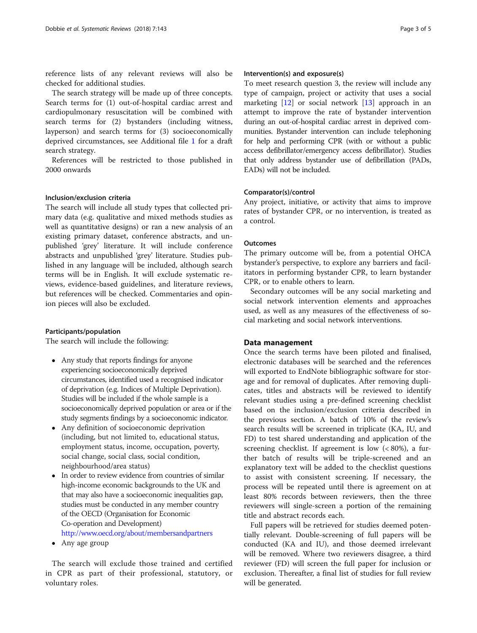reference lists of any relevant reviews will also be checked for additional studies.

The search strategy will be made up of three concepts. Search terms for (1) out-of-hospital cardiac arrest and cardiopulmonary resuscitation will be combined with search terms for (2) bystanders (including witness, layperson) and search terms for (3) socioeconomically deprived circumstances, see Additional file [1](#page-3-0) for a draft search strategy.

References will be restricted to those published in 2000 onwards

#### Inclusion/exclusion criteria

The search will include all study types that collected primary data (e.g. qualitative and mixed methods studies as well as quantitative designs) or ran a new analysis of an existing primary dataset, conference abstracts, and unpublished 'grey' literature. It will include conference abstracts and unpublished 'grey' literature. Studies published in any language will be included, although search terms will be in English. It will exclude systematic reviews, evidence-based guidelines, and literature reviews, but references will be checked. Commentaries and opinion pieces will also be excluded.

#### Participants/population

The search will include the following:

- Any study that reports findings for anyone experiencing socioeconomically deprived circumstances, identified used a recognised indicator of deprivation (e.g. Indices of Multiple Deprivation). Studies will be included if the whole sample is a socioeconomically deprived population or area or if the study segments findings by a socioeconomic indicator.
- Any definition of socioeconomic deprivation (including, but not limited to, educational status, employment status, income, occupation, poverty, social change, social class, social condition, neighbourhood/area status)
- In order to review evidence from countries of similar high-income economic backgrounds to the UK and that may also have a socioeconomic inequalities gap, studies must be conducted in any member country of the OECD (Organisation for Economic Co-operation and Development) <http://www.oecd.org/about/membersandpartners>
- Any age group

The search will exclude those trained and certified in CPR as part of their professional, statutory, or voluntary roles.

#### Intervention(s) and exposure(s)

To meet research question 3, the review will include any type of campaign, project or activity that uses a social marketing  $[12]$  $[12]$  or social network  $[13]$  $[13]$  approach in an attempt to improve the rate of bystander intervention during an out-of-hospital cardiac arrest in deprived communities. Bystander intervention can include telephoning for help and performing CPR (with or without a public access defibrillator/emergency access defibrillator). Studies that only address bystander use of defibrillation (PADs, EADs) will not be included.

#### Comparator(s)/control

Any project, initiative, or activity that aims to improve rates of bystander CPR, or no intervention, is treated as a control.

#### **Outcomes**

The primary outcome will be, from a potential OHCA bystander's perspective, to explore any barriers and facilitators in performing bystander CPR, to learn bystander CPR, or to enable others to learn.

Secondary outcomes will be any social marketing and social network intervention elements and approaches used, as well as any measures of the effectiveness of social marketing and social network interventions.

#### Data management

Once the search terms have been piloted and finalised, electronic databases will be searched and the references will exported to EndNote bibliographic software for storage and for removal of duplicates. After removing duplicates, titles and abstracts will be reviewed to identify relevant studies using a pre-defined screening checklist based on the inclusion/exclusion criteria described in the previous section. A batch of 10% of the review's search results will be screened in triplicate (KA, IU, and FD) to test shared understanding and application of the screening checklist. If agreement is low  $\langle \times 80\% \rangle$ , a further batch of results will be triple-screened and an explanatory text will be added to the checklist questions to assist with consistent screening. If necessary, the process will be repeated until there is agreement on at least 80% records between reviewers, then the three reviewers will single-screen a portion of the remaining title and abstract records each.

Full papers will be retrieved for studies deemed potentially relevant. Double-screening of full papers will be conducted (KA and IU), and those deemed irrelevant will be removed. Where two reviewers disagree, a third reviewer (FD) will screen the full paper for inclusion or exclusion. Thereafter, a final list of studies for full review will be generated.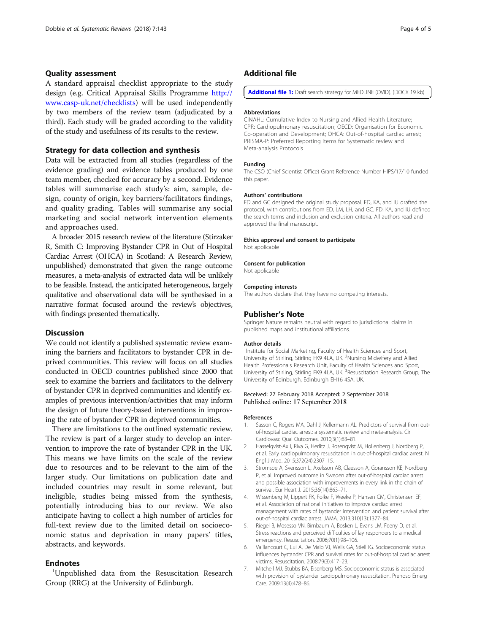#### <span id="page-3-0"></span>Quality assessment

A standard appraisal checklist appropriate to the study design (e.g. Critical Appraisal Skills Programme [http://](http://www.casp-uk.net/checklists) [www.casp-uk.net/checklists](http://www.casp-uk.net/checklists)) will be used independently by two members of the review team (adjudicated by a third). Each study will be graded according to the validity of the study and usefulness of its results to the review.

#### Strategy for data collection and synthesis

Data will be extracted from all studies (regardless of the evidence grading) and evidence tables produced by one team member, checked for accuracy by a second. Evidence tables will summarise each study's: aim, sample, design, county of origin, key barriers/facilitators findings, and quality grading. Tables will summarise any social marketing and social network intervention elements and approaches used.

A broader 2015 research review of the literature (Stirzaker R, Smith C: Improving Bystander CPR in Out of Hospital Cardiac Arrest (OHCA) in Scotland: A Research Review, unpublished) demonstrated that given the range outcome measures, a meta-analysis of extracted data will be unlikely to be feasible. Instead, the anticipated heterogeneous, largely qualitative and observational data will be synthesised in a narrative format focused around the review's objectives, with findings presented thematically.

#### **Discussion**

We could not identify a published systematic review examining the barriers and facilitators to bystander CPR in deprived communities. This review will focus on all studies conducted in OECD countries published since 2000 that seek to examine the barriers and facilitators to the delivery of bystander CPR in deprived communities and identify examples of previous intervention/activities that may inform the design of future theory-based interventions in improving the rate of bystander CPR in deprived communities.

There are limitations to the outlined systematic review. The review is part of a larger study to develop an intervention to improve the rate of bystander CPR in the UK. This means we have limits on the scale of the review due to resources and to be relevant to the aim of the larger study. Our limitations on publication date and included countries may result in some relevant, but ineligible, studies being missed from the synthesis, potentially introducing bias to our review. We also anticipate having to collect a high number of articles for full-text review due to the limited detail on socioeconomic status and deprivation in many papers' titles, abstracts, and keywords.

#### **Endnotes**

Unpublished data from the Resuscitation Research Group (RRG) at the University of Edinburgh.

### Additional file

[Additional file 1:](https://doi.org/10.1186/s13643-018-0807-5) Draft search strategy for MEDLINE (OVID). (DOCX 19 kb)

#### Abbreviations

CINAHL: Cumulative Index to Nursing and Allied Health Literature; CPR: Cardiopulmonary resuscitation; OECD: Organisation for Economic Co-operation and Development; OHCA: Out-of-hospital cardiac arrest; PRISMA-P: Preferred Reporting Items for Systematic review and Meta-analysis Protocols

#### Funding

The CSO (Chief Scientist Office) Grant Reference Number HIPS/17/10 funded this paper.

#### Authors' contributions

FD and GC designed the original study proposal. FD, KA, and IU drafted the protocol, with contributions from ED, LM, LH, and GC. FD, KA, and IU defined the search terms and inclusion and exclusion criteria. All authors read and approved the final manuscript.

#### Ethics approval and consent to participate

Not applicable

Consent for publication Not applicable

#### Competing interests

The authors declare that they have no competing interests.

#### Publisher's Note

Springer Nature remains neutral with regard to jurisdictional claims in published maps and institutional affiliations.

#### Author details

<sup>1</sup>Institute for Social Marketing, Faculty of Health Sciences and Sport, University of Stirling, Stirling FK9 4LA, UK. <sup>2</sup>Nursing Midwifery and Allied Health Professionals Research Unit, Faculty of Health Sciences and Sport, University of Stirling, Stirling FK9 4LA, UK.<sup>3</sup> Resuscitation Research Group, The University of Edinburgh, Edinburgh EH16 4SA, UK.

#### Received: 27 February 2018 Accepted: 2 September 2018 Published online: 17 September 2018

#### References

- 1. Sasson C, Rogers MA, Dahl J, Kellermann AL. Predictors of survival from outof-hospital cardiac arrest: a systematic review and meta-analysis. Cir Cardiovasc Qual Outcomes. 2010;3(1):63–81.
- 2. Hasselqvist-Ax I, Riva G, Herlitz J, Rosenqvist M, Hollenberg J, Nordberg P, et al. Early cardiopulmonary resuscitation in out-of-hospital cardiac arrest. N Engl J Med. 2015;372(24):2307–15.
- Stromsoe A, Svensson L, Axelsson AB, Claesson A, Goransson KE, Nordberg P, et al. Improved outcome in Sweden after out-of-hospital cardiac arrest and possible association with improvements in every link in the chain of survival. Eur Heart J. 2015;36(14):863–71.
- 4. Wissenberg M, Lippert FK, Folke F, Weeke P, Hansen CM, Christensen EF, et al. Association of national initiatives to improve cardiac arrest management with rates of bystander intervention and patient survival after out-of-hospital cardiac arrest. JAMA. 2013;310(13):1377–84.
- 5. Riegel B, Mosesso VN, Birnbaum A, Bosken L, Evans LM, Feeny D, et al. Stress reactions and perceived difficulties of lay responders to a medical emergency. Resuscitation. 2006;70(1):98–106.
- 6. Vaillancourt C, Lui A, De Maio VJ, Wells GA, Stiell IG. Socioeconomic status influences bystander CPR and survival rates for out-of-hospital cardiac arrest victims. Resuscitation. 2008;79(3):417–23.
- 7. Mitchell MJ, Stubbs BA, Eisenberg MS. Socioeconomic status is associated with provision of bystander cardiopulmonary resuscitation. Prehosp Emerg Care. 2009;13(4):478–86.